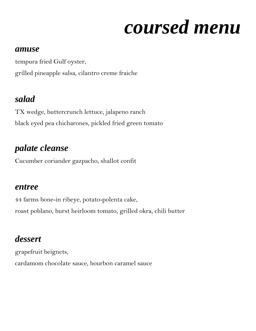# *coursed menu*

#### *amuse*

tempura fried Gulf oyster, grilled pineapple salsa, cilantro creme fraiche

## *salad*

TX wedge, buttercrunch lettuce, jalapeno ranch black eyed pea chicharones, pickled fried green tomato

## *palate cleanse*

Cucumber coriander gazpacho, shallot confit

## *entree*

44 farms bone-in ribeye, potato-polenta cake, roast poblano, burst heirloom tomato, grilled okra, chili butter

## *dessert*

grapefruit beignets, cardamom chocolate sauce, bourbon caramel sauce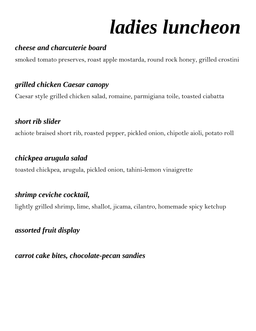# *ladies luncheon*

### *cheese and charcuterie board*

smoked tomato preserves, roast apple mostarda, round rock honey, grilled crostini

## *grilled chicken Caesar canopy*

Caesar style grilled chicken salad, romaine, parmigiana toile, toasted ciabatta

### *short rib slider*

achiote braised short rib, roasted pepper, pickled onion, chipotle aioli, potato roll

### *chickpea arugula salad*

toasted chickpea, arugula, pickled onion, tahini-lemon vinaigrette

## *shrimp ceviche cocktail,*

lightly grilled shrimp, lime, shallot, jicama, cilantro, homemade spicy ketchup

### *assorted fruit display*

*carrot cake bites, chocolate-pecan sandies*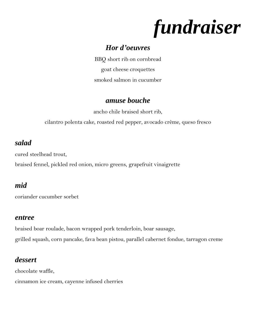*fundraiser*

#### *Hor d'oeuvres*

BBQ short rib on cornbread goat cheese croquettes smoked salmon in cucumber

#### *amuse bouche*

ancho chile braised short rib,

cilantro polenta cake, roasted red pepper, avocado crème, queso fresco

### *salad*

cured steelhead trout,

braised fennel, pickled red onion, micro greens, grapefruit vinaigrette

#### *mid*

coriander cucumber sorbet

#### *entree*

braised boar roulade, bacon wrapped pork tenderloin, boar sausage, grilled squash, corn pancake, fava bean pistou, parallel cabernet fondue, tarragon creme

## *dessert*

chocolate waffle,

cinnamon ice cream, cayenne infused cherries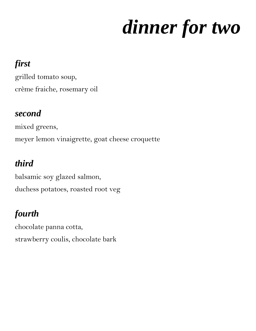# *dinner for two*

# *first*

grilled tomato soup, crème fraiche, rosemary oil

## *second*

mixed greens, meyer lemon vinaigrette, goat cheese croquette

# *third*

balsamic soy glazed salmon, duchess potatoes, roasted root veg

# *fourth*

chocolate panna cotta, strawberry coulis, chocolate bark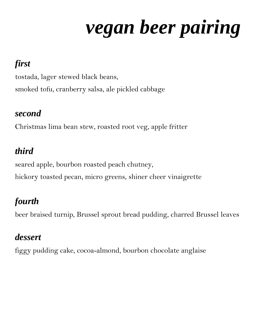# *vegan beer pairing*

# *first*

tostada, lager stewed black beans, smoked tofu, cranberry salsa, ale pickled cabbage

## *second*

Christmas lima bean stew, roasted root veg, apple fritter

# *third*

seared apple, bourbon roasted peach chutney, hickory toasted pecan, micro greens, shiner cheer vinaigrette

# *fourth*

beer braised turnip, Brussel sprout bread pudding, charred Brussel leaves

## *dessert*

figgy pudding cake, cocoa-almond, bourbon chocolate anglaise